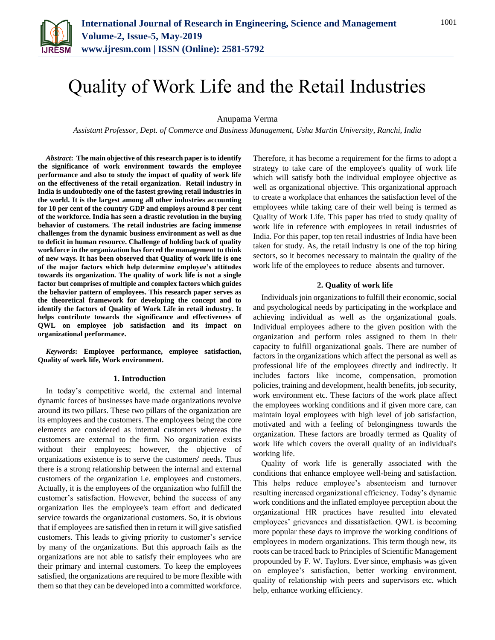

# Quality of Work Life and the Retail Industries

Anupama Verma

*Assistant Professor, Dept. of Commerce and Business Management, Usha Martin University, Ranchi, India*

*Abstract***: The main objective of this research paper is to identify the significance of work environment towards the employee performance and also to study the impact of quality of work life on the effectiveness of the retail organization. Retail industry in India is undoubtedly one of the fastest growing retail industries in the world. It is the largest among all other industries accounting for 10 per cent of the country GDP and employs around 8 per cent of the workforce. India has seen a drastic revolution in the buying behavior of customers. The retail industries are facing immense challenges from the dynamic business environment as well as due to deficit in human resource. Challenge of holding back of quality workforce in the organization has forced the management to think of new ways. It has been observed that Quality of work life is one of the major factors which help determine employee's attitudes towards its organization. The quality of work life is not a single factor but comprises of multiple and complex factors which guides the behavior pattern of employees. This research paper serves as the theoretical framework for developing the concept and to identify the factors of Quality of Work Life in retail industry. It helps contribute towards the significance and effectiveness of QWL on employee job satisfaction and its impact on organizational performance.** 

*Keywords***: Employee performance, employee satisfaction, Quality of work life, Work environment.** 

#### **1. Introduction**

In today's competitive world, the external and internal dynamic forces of businesses have made organizations revolve around its two pillars. These two pillars of the organization are its employees and the customers. The employees being the core elements are considered as internal customers whereas the customers are external to the firm. No organization exists without their employees; however, the objective of organizations existence is to serve the customers' needs. Thus there is a strong relationship between the internal and external customers of the organization i.e. employees and customers. Actually, it is the employees of the organization who fulfill the customer's satisfaction. However, behind the success of any organization lies the employee's team effort and dedicated service towards the organizational customers. So, it is obvious that if employees are satisfied then in return it will give satisfied customers. This leads to giving priority to customer's service by many of the organizations. But this approach fails as the organizations are not able to satisfy their employees who are their primary and internal customers. To keep the employees satisfied, the organizations are required to be more flexible with them so that they can be developed into a committed workforce.

Therefore, it has become a requirement for the firms to adopt a strategy to take care of the employee's quality of work life which will satisfy both the individual employee objective as well as organizational objective. This organizational approach to create a workplace that enhances the satisfaction level of the employees while taking care of their well being is termed as Quality of Work Life. This paper has tried to study quality of work life in reference with employees in retail industries of India. For this paper, top ten retail industries of India have been taken for study. As, the retail industry is one of the top hiring sectors, so it becomes necessary to maintain the quality of the work life of the employees to reduce absents and turnover.

### **2. Quality of work life**

Individuals join organizations to fulfill their economic, social and psychological needs by participating in the workplace and achieving individual as well as the organizational goals. Individual employees adhere to the given position with the organization and perform roles assigned to them in their capacity to fulfill organizational goals. There are number of factors in the organizations which affect the personal as well as professional life of the employees directly and indirectly. It includes factors like income, compensation, promotion policies, training and development, health benefits, job security, work environment etc. These factors of the work place affect the employees working conditions and if given more care, can maintain loyal employees with high level of job satisfaction, motivated and with a feeling of belongingness towards the organization. These factors are broadly termed as Quality of work life which covers the overall quality of an individual's working life.

Quality of work life is generally associated with the conditions that enhance employee well-being and satisfaction. This helps reduce employee's absenteeism and turnover resulting increased organizational efficiency. Today's dynamic work conditions and the inflated employee perception about the organizational HR practices have resulted into elevated employees' grievances and dissatisfaction. QWL is becoming more popular these days to improve the working conditions of employees in modern organizations. This term though new, its roots can be traced back to Principles of Scientific Management propounded by F. W. Taylors. Ever since, emphasis was given on employee's satisfaction, better working environment, quality of relationship with peers and supervisors etc. which help, enhance working efficiency.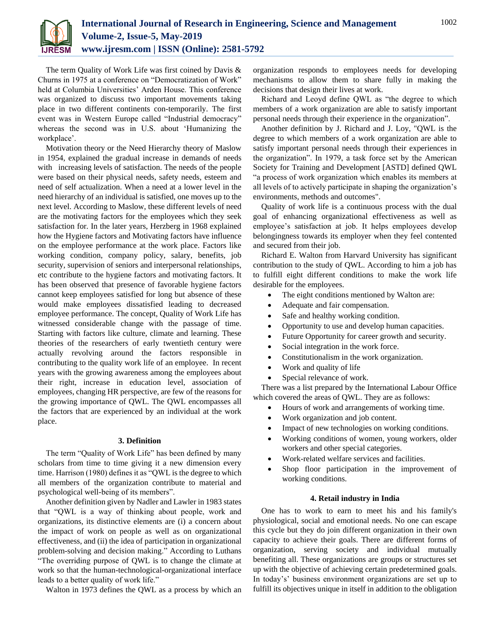

The term Quality of Work Life was first coined by Davis & Churns in 1975 at a conference on "Democratization of Work" held at Columbia Universities' Arden House. This conference was organized to discuss two important movements taking place in two different continents con-temporarily. The first event was in Western Europe called "Industrial democracy" whereas the second was in U.S. about 'Humanizing the workplace'.

Motivation theory or the Need Hierarchy theory of Maslow in 1954, explained the gradual increase in demands of needs with increasing levels of satisfaction. The needs of the people were based on their physical needs, safety needs, esteem and need of self actualization. When a need at a lower level in the need hierarchy of an individual is satisfied, one moves up to the next level. According to Maslow, these different levels of need are the motivating factors for the employees which they seek satisfaction for. In the later years, Herzberg in 1968 explained how the Hygiene factors and Motivating factors have influence on the employee performance at the work place. Factors like working condition, company policy, salary, benefits, job security, supervision of seniors and interpersonal relationships, etc contribute to the hygiene factors and motivating factors. It has been observed that presence of favorable hygiene factors cannot keep employees satisfied for long but absence of these would make employees dissatisfied leading to decreased employee performance. The concept, Quality of Work Life has witnessed considerable change with the passage of time. Starting with factors like culture, climate and learning. These theories of the researchers of early twentieth century were actually revolving around the factors responsible in contributing to the quality work life of an employee. In recent years with the growing awareness among the employees about their right, increase in education level, association of employees, changing HR perspective, are few of the reasons for the growing importance of QWL. The QWL encompasses all the factors that are experienced by an individual at the work place.

## **3. Definition**

The term "Quality of Work Life" has been defined by many scholars from time to time giving it a new dimension every time. Harrison (1980) defines it as "QWL is the degree to which all members of the organization contribute to material and psychological well-being of its members".

Another definition given by Nadler and Lawler in 1983 states that "QWL is a way of thinking about people, work and organizations, its distinctive elements are (i) a concern about the impact of work on people as well as on organizational effectiveness, and (ii) the idea of participation in organizational problem-solving and decision making." According to Luthans "The overriding purpose of QWL is to change the climate at work so that the human-technological-organizational interface leads to a better quality of work life."

Walton in 1973 defines the QWL as a process by which an

organization responds to employees needs for developing mechanisms to allow them to share fully in making the decisions that design their lives at work.

Richard and Leoyd define QWL as "the degree to which members of a work organization are able to satisfy important personal needs through their experience in the organization".

Another definition by J. Richard and J. Loy, "QWL is the degree to which members of a work organization are able to satisfy important personal needs through their experiences in the organization". In 1979, a task force set by the American Society for Training and Development [ASTD] defined QWL "a process of work organization which enables its members at all levels of to actively participate in shaping the organization's environments, methods and outcomes".

Quality of work life is a continuous process with the dual goal of enhancing organizational effectiveness as well as employee's satisfaction at job. It helps employees develop belongingness towards its employer when they feel contented and secured from their job.

Richard E. Walton from Harvard University has significant contribution to the study of QWL. According to him a job has to fulfill eight different conditions to make the work life desirable for the employees.

- The eight conditions mentioned by Walton are:
- Adequate and fair compensation.
- Safe and healthy working condition.
- Opportunity to use and develop human capacities.
- Future Opportunity for career growth and security.
- Social integration in the work force.
- Constitutionalism in the work organization.
- Work and quality of life
- Special relevance of work.

There was a list prepared by the International Labour Office which covered the areas of QWL. They are as follows:

- Hours of work and arrangements of working time.
- Work organization and job content.
- Impact of new technologies on working conditions.
- Working conditions of women, young workers, older workers and other special categories.
- Work-related welfare services and facilities.
- Shop floor participation in the improvement of working conditions.

# **4. Retail industry in India**

One has to work to earn to meet his and his family's physiological, social and emotional needs. No one can escape this cycle but they do join different organization in their own capacity to achieve their goals. There are different forms of organization, serving society and individual mutually benefiting all. These organizations are groups or structures set up with the objective of achieving certain predetermined goals. In today's' business environment organizations are set up to fulfill its objectives unique in itself in addition to the obligation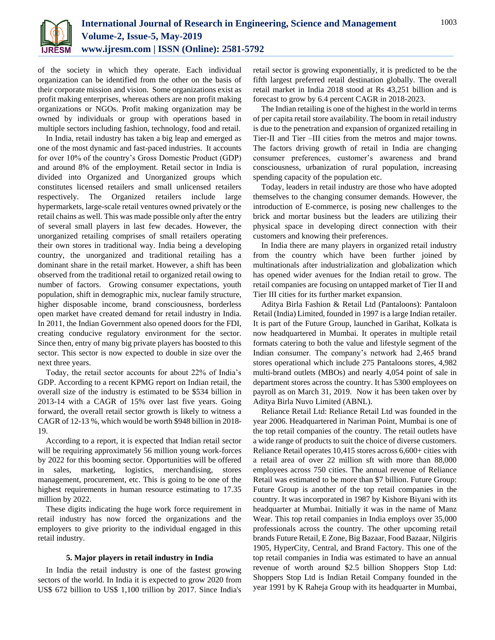

of the society in which they operate. Each individual organization can be identified from the other on the basis of their corporate mission and vision. Some organizations exist as profit making enterprises, whereas others are non profit making organizations or NGOs. Profit making organization may be owned by individuals or group with operations based in multiple sectors including fashion, technology, food and retail.

In India, retail industry has taken a big leap and emerged as one of the most dynamic and fast-paced industries. It accounts for over 10% of the country's Gross Domestic Product (GDP) and around 8% of the employment. Retail sector in India is divided into Organized and Unorganized groups which constitutes licensed retailers and small unlicensed retailers respectively. The Organized retailers include large hypermarkets, large-scale retail ventures owned privately or the retail chains as well. This was made possible only after the entry of several small players in last few decades. However, the unorganized retailing comprises of small retailers operating their own stores in traditional way. India being a developing country, the unorganized and traditional retailing has a dominant share in the retail market. However, a shift has been observed from the traditional retail to organized retail owing to number of factors. Growing consumer expectations, youth population, shift in demographic mix, nuclear family structure, higher disposable income, brand consciousness, borderless open market have created demand for retail industry in India. In 2011, the Indian Government also opened doors for the FDI, creating conducive regulatory environment for the sector. Since then, entry of many big private players has boosted to this sector. This sector is now expected to double in size over the next three years.

Today, the retail sector accounts for about 22% of India's GDP. According to a recent KPMG report on Indian retail, the overall size of the industry is estimated to be \$534 billion in 2013-14 with a CAGR of 15% over last five years. Going forward, the overall retail sector growth is likely to witness a CAGR of 12-13 %, which would be worth \$948 billion in 2018- 19.

According to a report, it is expected that Indian retail sector will be requiring approximately 56 million young work-forces by 2022 for this booming sector. Opportunities will be offered in sales, marketing, logistics, merchandising, stores management, procurement, etc. This is going to be one of the highest requirements in human resource estimating to 17.35 million by 2022.

These digits indicating the huge work force requirement in retail industry has now forced the organizations and the employers to give priority to the individual engaged in this retail industry.

# **5. Major players in retail industry in India**

In India the retail industry is one of the fastest growing sectors of the world. In India it is expected to grow 2020 from US\$ 672 billion to US\$ 1,100 trillion by 2017. Since India's retail sector is growing exponentially, it is predicted to be the fifth largest preferred retail destination globally. The overall retail market in India 2018 stood at Rs 43,251 billion and is forecast to grow by 6.4 percent CAGR in 2018-2023.

The Indian retailing is one of the highest in the world in terms of per capita retail store availability. The boom in retail industry is due to the penetration and expansion of organized retailing in Tier-II and Tier –III cities from the metros and major towns. The factors driving growth of retail in India are changing consumer preferences, customer's awareness and brand consciousness, urbanization of rural population, increasing spending capacity of the population etc.

Today, leaders in retail industry are those who have adopted themselves to the changing consumer demands. However, the introduction of E-commerce, is posing new challenges to the brick and mortar business but the leaders are utilizing their physical space in developing direct connection with their customers and knowing their preferences.

In India there are many players in organized retail industry from the country which have been further joined by multinationals after industrialization and globalization which has opened wider avenues for the Indian retail to grow. The retail companies are focusing on untapped market of Tier II and Tier III cities for its further market expansion.

Aditya Birla Fashion & Retail Ltd (Pantaloons): Pantaloon Retail (India) Limited, founded in 1997 is a large Indian retailer. It is part of the Future Group, launched in Garihat, Kolkata is now headquartered in Mumbai. It operates in multiple retail formats catering to both the value and lifestyle segment of the Indian consumer. The company's network had 2,465 brand stores operational which include 275 Pantaloons stores, 4,982 multi-brand outlets (MBOs) and nearly 4,054 point of sale in department stores across the country. It has 5300 employees on payroll as on March 31, 2019. Now it has been taken over by Aditya Birla Nuvo Limited (ABNL).

Reliance Retail Ltd: Reliance Retail Ltd was founded in the year 2006. Headquartered in Nariman Point, Mumbai is one of the top retail companies of the country. The retail outlets have a wide range of products to suit the choice of diverse customers. Reliance Retail operates 10,415 stores across 6,600+ cities with a retail area of over 22 million sft with more than 88,000 employees across 750 cities. The annual revenue of Reliance Retail was estimated to be more than \$7 billion. Future Group: Future Group is another of the top retail companies in the country. It was incorporated in 1987 by Kishore Biyani with its headquarter at Mumbai. Initially it was in the name of Manz Wear. This top retail companies in India employs over 35,000 professionals across the country. The other upcoming retail brands Future Retail, E Zone, Big Bazaar, Food Bazaar, Nilgiris 1905, HyperCity, Central, and Brand Factory. This one of the top retail companies in India was estimated to have an annual revenue of worth around \$2.5 billion Shoppers Stop Ltd: Shoppers Stop Ltd is Indian Retail Company founded in the year 1991 by K Raheja Group with its headquarter in Mumbai,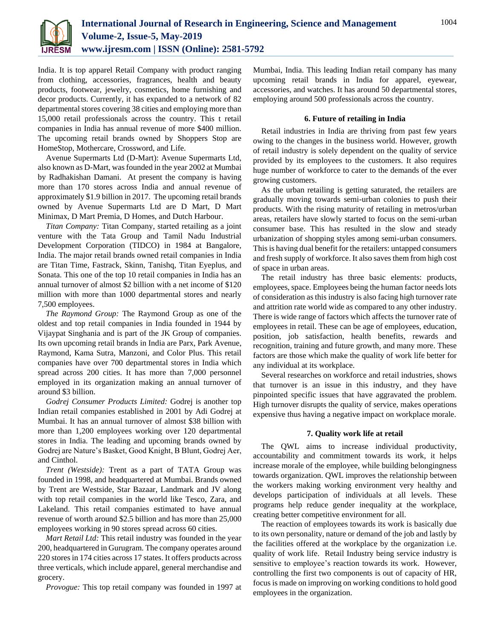

India. It is top apparel Retail Company with product ranging from clothing, accessories, fragrances, health and beauty products, footwear, jewelry, cosmetics, home furnishing and decor products. Currently, it has expanded to a network of 82 departmental stores covering 38 cities and employing more than 15,000 retail professionals across the country. This t retail companies in India has annual revenue of more \$400 million. The upcoming retail brands owned by Shoppers Stop are HomeStop, Mothercare, Crossword, and Life.

Avenue Supermarts Ltd (D-Mart): Avenue Supermarts Ltd, also known as D-Mart, was founded in the year 2002 at Mumbai by Radhakishan Damani. At present the company is having more than 170 stores across India and annual revenue of approximately \$1.9 billion in 2017. The upcoming retail brands owned by Avenue Supermarts Ltd are D Mart, D Mart Minimax, D Mart Premia, D Homes, and Dutch Harbour.

*Titan Company:* Titan Company, started retailing as a joint venture with the Tata Group and Tamil Nadu Industrial Development Corporation (TIDCO) in 1984 at Bangalore, India. The major retail brands owned retail companies in India are Titan Time, Fastrack, Skinn, Tanishq, Titan Eyeplus, and Sonata. This one of the top 10 retail companies in India has an annual turnover of almost \$2 billion with a net income of \$120 million with more than 1000 departmental stores and nearly 7,500 employees.

*The Raymond Group:* The Raymond Group as one of the oldest and top retail companies in India founded in 1944 by Vijaypat Singhania and is part of the JK Group of companies. Its own upcoming retail brands in India are Parx, Park Avenue, Raymond, Kama Sutra, Manzoni, and Color Plus. This retail companies have over 700 departmental stores in India which spread across 200 cities. It has more than 7,000 personnel employed in its organization making an annual turnover of around \$3 billion.

*Godrej Consumer Products Limited:* Godrej is another top Indian retail companies established in 2001 by Adi Godrej at Mumbai. It has an annual turnover of almost \$38 billion with more than 1,200 employees working over 120 departmental stores in India. The leading and upcoming brands owned by Godrej are Nature's Basket, Good Knight, B Blunt, Godrej Aer, and Cinthol.

*Trent (Westside):* Trent as a part of TATA Group was founded in 1998, and headquartered at Mumbai. Brands owned by Trent are Westside, Star Bazaar, Landmark and JV along with top retail companies in the world like Tesco, Zara, and Lakeland. This retail companies estimated to have annual revenue of worth around \$2.5 billion and has more than 25,000 employees working in 90 stores spread across 60 cities.

*Mart Retail Ltd:* This retail industry was founded in the year 200, headquartered in Gurugram. The company operates around 220 stores in 174 cities across 17 states. It offers products across three verticals, which include apparel, general merchandise and grocery.

*Provogue:* This top retail company was founded in 1997 at

Mumbai, India. This leading Indian retail company has many upcoming retail brands in India for apparel, eyewear, accessories, and watches. It has around 50 departmental stores, employing around 500 professionals across the country.

## **6. Future of retailing in India**

Retail industries in India are thriving from past few years owing to the changes in the business world. However, growth of retail industry is solely dependent on the quality of service provided by its employees to the customers. It also requires huge number of workforce to cater to the demands of the ever growing customers.

As the urban retailing is getting saturated, the retailers are gradually moving towards semi-urban colonies to push their products. With the rising maturity of retailing in metros/urban areas, retailers have slowly started to focus on the semi-urban consumer base. This has resulted in the slow and steady urbanization of shopping styles among semi-urban consumers. This is having dual benefit for the retailers: untapped consumers and fresh supply of workforce. It also saves them from high cost of space in urban areas.

The retail industry has three basic elements: products, employees, space. Employees being the human factor needs lots of consideration as this industry is also facing high turnover rate and attrition rate world wide as compared to any other industry. There is wide range of factors which affects the turnover rate of employees in retail. These can be age of employees, education, position, job satisfaction, health benefits, rewards and recognition, training and future growth, and many more. These factors are those which make the quality of work life better for any individual at its workplace.

Several researches on workforce and retail industries, shows that turnover is an issue in this industry, and they have pinpointed specific issues that have aggravated the problem. High turnover disrupts the quality of service, makes operations expensive thus having a negative impact on workplace morale.

# **7. Quality work life at retail**

The QWL aims to increase individual productivity, accountability and commitment towards its work, it helps increase morale of the employee, while building belongingness towards organization. QWL improves the relationship between the workers making working environment very healthy and develops participation of individuals at all levels. These programs help reduce gender inequality at the workplace, creating better competitive environment for all.

The reaction of employees towards its work is basically due to its own personality, nature or demand of the job and lastly by the facilities offered at the workplace by the organization i.e. quality of work life. Retail Industry being service industry is sensitive to employee's reaction towards its work. However, controlling the first two components is out of capacity of HR, focus is made on improving on working conditions to hold good employees in the organization.